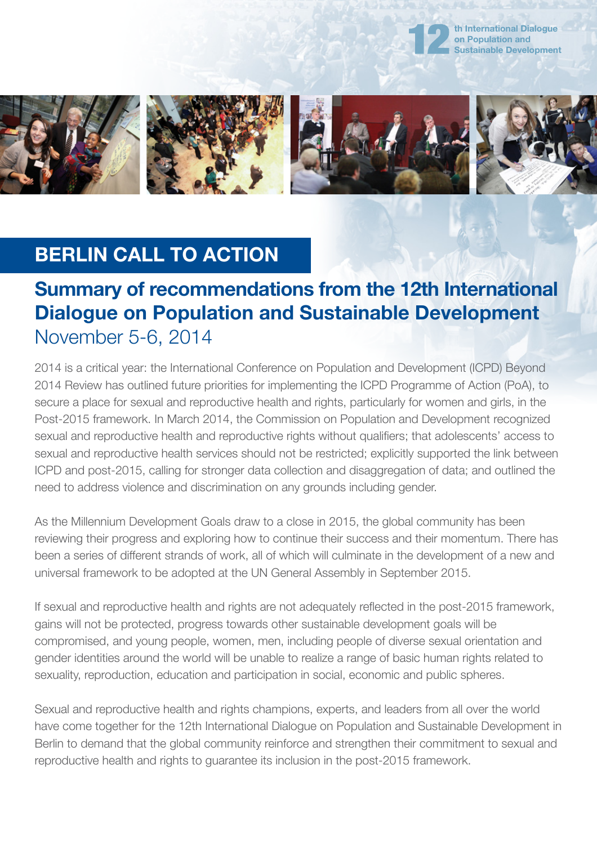



## **BERLIN CALL TO ACTION**

## **Summary of recommendations from the 12th International Dialogue on Population and Sustainable Development** November 5-6, 2014

2014 is a critical year: the International Conference on Population and Development (ICPD) Beyond 2014 Review has outlined future priorities for implementing the ICPD Programme of Action (PoA), to secure a place for sexual and reproductive health and rights, particularly for women and girls, in the Post-2015 framework. In March 2014, the Commission on Population and Development recognized sexual and reproductive health and reproductive rights without qualifiers; that adolescents' access to sexual and reproductive health services should not be restricted; explicitly supported the link between ICPD and post-2015, calling for stronger data collection and disaggregation of data; and outlined the need to address violence and discrimination on any grounds including gender.

As the Millennium Development Goals draw to a close in 2015, the global community has been reviewing their progress and exploring how to continue their success and their momentum. There has been a series of different strands of work, all of which will culminate in the development of a new and universal framework to be adopted at the UN General Assembly in September 2015.

If sexual and reproductive health and rights are not adequately reflected in the post-2015 framework, gains will not be protected, progress towards other sustainable development goals will be compromised, and young people, women, men, including people of diverse sexual orientation and gender identities around the world will be unable to realize a range of basic human rights related to sexuality, reproduction, education and participation in social, economic and public spheres.

Sexual and reproductive health and rights champions, experts, and leaders from all over the world have come together for the 12th International Dialogue on Population and Sustainable Development in Berlin to demand that the global community reinforce and strengthen their commitment to sexual and reproductive health and rights to guarantee its inclusion in the post-2015 framework.